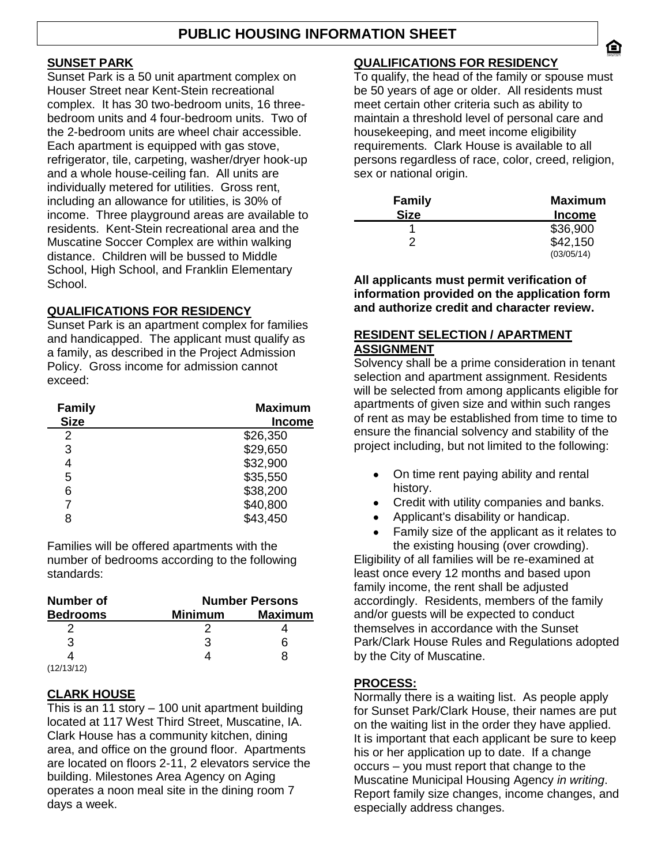## **SUNSET PARK**

Sunset Park is a 50 unit apartment complex on Houser Street near Kent-Stein recreational complex. It has 30 two-bedroom units, 16 threebedroom units and 4 four-bedroom units. Two of the 2-bedroom units are wheel chair accessible. Each apartment is equipped with gas stove, refrigerator, tile, carpeting, washer/dryer hook-up and a whole house-ceiling fan. All units are individually metered for utilities. Gross rent, including an allowance for utilities, is 30% of income. Three playground areas are available to residents. Kent-Stein recreational area and the Muscatine Soccer Complex are within walking distance. Children will be bussed to Middle School, High School, and Franklin Elementary School.

## **QUALIFICATIONS FOR RESIDENCY**

Sunset Park is an apartment complex for families and handicapped. The applicant must qualify as a family, as described in the Project Admission Policy. Gross income for admission cannot exceed:

| <b>Family</b><br><b>Size</b> | <b>Maximum</b><br><b>Income</b> |
|------------------------------|---------------------------------|
| 2                            | \$26,350                        |
| 3                            | \$29,650                        |
| 4                            | \$32,900                        |
| 5                            | \$35,550                        |
| 6                            | \$38,200                        |
|                              | \$40,800                        |
| 8                            | \$43,450                        |

Families will be offered apartments with the number of bedrooms according to the following standards:

| <b>Number of</b> | <b>Number Persons</b>            |   |  |  |  |  |
|------------------|----------------------------------|---|--|--|--|--|
| <b>Bedrooms</b>  | <b>Maximum</b><br><b>Minimum</b> |   |  |  |  |  |
|                  |                                  |   |  |  |  |  |
| З                | З                                | ห |  |  |  |  |
|                  |                                  | х |  |  |  |  |
| (12/13/12)       |                                  |   |  |  |  |  |

## **CLARK HOUSE**

This is an 11 story – 100 unit apartment building located at 117 West Third Street, Muscatine, IA. Clark House has a community kitchen, dining area, and office on the ground floor. Apartments are located on floors 2-11, 2 elevators service the building. Milestones Area Agency on Aging operates a noon meal site in the dining room 7 days a week.

## **QUALIFICATIONS FOR RESIDENCY**

To qualify, the head of the family or spouse must be 50 years of age or older. All residents must meet certain other criteria such as ability to maintain a threshold level of personal care and housekeeping, and meet income eligibility requirements. Clark House is available to all persons regardless of race, color, creed, religion, sex or national origin.

| <b>Family</b> | <b>Maximum</b>         |
|---------------|------------------------|
| <b>Size</b>   | <b>Income</b>          |
|               | \$36,900               |
| 2             | \$42,150<br>(03/05/14) |

**All applicants must permit verification of information provided on the application form and authorize credit and character review.**

## **RESIDENT SELECTION / APARTMENT ASSIGNMENT**

Solvency shall be a prime consideration in tenant selection and apartment assignment. Residents will be selected from among applicants eligible for apartments of given size and within such ranges of rent as may be established from time to time to ensure the financial solvency and stability of the project including, but not limited to the following:

- On time rent paying ability and rental  $\bullet$ history.
- $\bullet$ Credit with utility companies and banks.
- Applicant's disability or handicap.
- Family size of the applicant as it relates to the existing housing (over crowding).

Eligibility of all families will be re-examined at least once every 12 months and based upon family income, the rent shall be adjusted accordingly. Residents, members of the family and/or guests will be expected to conduct themselves in accordance with the Sunset Park/Clark House Rules and Regulations adopted by the City of Muscatine.

## **PROCESS:**

Normally there is a waiting list. As people apply for Sunset Park/Clark House, their names are put on the waiting list in the order they have applied. It is important that each applicant be sure to keep his or her application up to date. If a change occurs – you must report that change to the Muscatine Municipal Housing Agency *in writing*. Report family size changes, income changes, and especially address changes.

合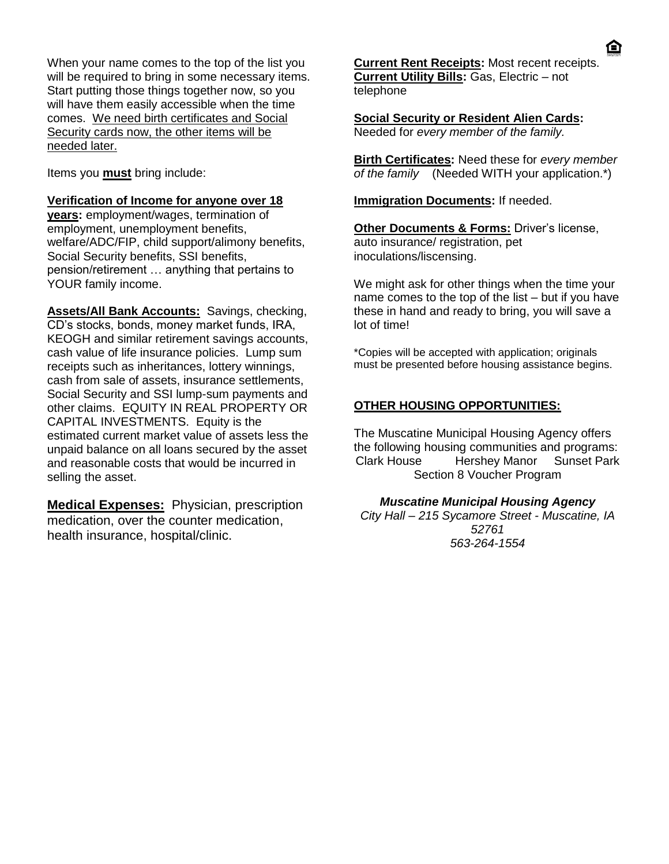When your name comes to the top of the list you will be required to bring in some necessary items. Start putting those things together now, so you will have them easily accessible when the time comes. We need birth certificates and Social Security cards now, the other items will be needed later.

Items you **must** bring include:

#### **Verification of Income for anyone over 18**

**years:** employment/wages, termination of employment, unemployment benefits, welfare/ADC/FIP, child support/alimony benefits, Social Security benefits, SSI benefits, pension/retirement … anything that pertains to YOUR family income.

**Assets/All Bank Accounts:** Savings, checking, CD's stocks, bonds, money market funds, IRA, KEOGH and similar retirement savings accounts, cash value of life insurance policies. Lump sum receipts such as inheritances, lottery winnings, cash from sale of assets, insurance settlements, Social Security and SSI lump-sum payments and other claims. EQUITY IN REAL PROPERTY OR CAPITAL INVESTMENTS. Equity is the estimated current market value of assets less the unpaid balance on all loans secured by the asset and reasonable costs that would be incurred in selling the asset.

**Medical Expenses:** Physician, prescription medication, over the counter medication, health insurance, hospital/clinic.

**Current Rent Receipts:** Most recent receipts. **Current Utility Bills:** Gas, Electric – not telephone

**Social Security or Resident Alien Cards:** Needed for *every member of the family.*

**Birth Certificates:** Need these for *every member of the family* (Needed WITH your application.\*)

#### **Immigration Documents:** If needed.

**Other Documents & Forms: Driver's license,** auto insurance/ registration, pet inoculations/liscensing.

We might ask for other things when the time your name comes to the top of the list – but if you have these in hand and ready to bring, you will save a lot of time!

\*Copies will be accepted with application; originals must be presented before housing assistance begins.

## **OTHER HOUSING OPPORTUNITIES:**

The Muscatine Municipal Housing Agency offers the following housing communities and programs: Clark House Hershey Manor Sunset Park Section 8 Voucher Program

## *Muscatine Municipal Housing Agency*

*City Hall – 215 Sycamore Street - Muscatine, IA 52761 563-264-1554*

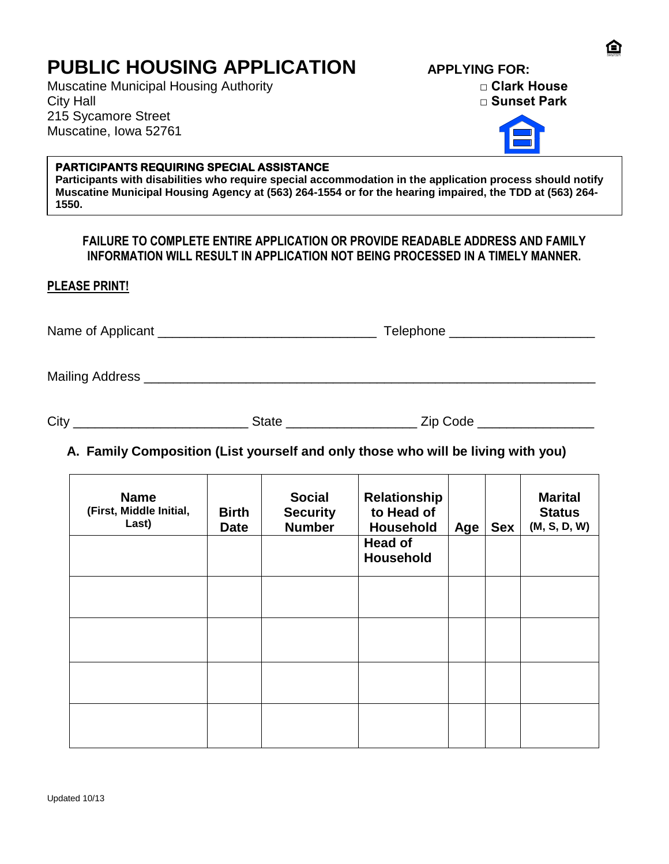# **PUBLIC HOUSING APPLICATION APPLYING FOR:**

Muscatine Municipal Housing Authority **□ Clark House** City Hall **□ Sunset Park** 215 Sycamore Street Muscatine, Iowa 52761



## **PARTICIPANTS REQUIRING SPECIAL ASSISTANCE**

**Participants with disabilities who require special accommodation in the application process should notify Muscatine Municipal Housing Agency at (563) 264-1554 or for the hearing impaired, the TDD at (563) 264- 1550.**

## **FAILURE TO COMPLETE ENTIRE APPLICATION OR PROVIDE READABLE ADDRESS AND FAMILY INFORMATION WILL RESULT IN APPLICATION NOT BEING PROCESSED IN A TIMELY MANNER.**

**PLEASE PRINT!**

Name of Applicant **Name of Applicant Name of Applicant** 

Mailing Address \_\_\_\_\_\_\_\_\_\_\_\_\_\_\_\_\_\_\_\_\_\_\_\_\_\_\_\_\_\_\_\_\_\_\_\_\_\_\_\_\_\_\_\_\_\_\_\_\_\_\_\_\_\_\_\_\_\_\_\_\_\_

| City |  | -- |  |
|------|--|----|--|
|------|--|----|--|

# **A. Family Composition (List yourself and only those who will be living with you)**

| <b>Name</b><br>(First, Middle Initial,<br>Last) | <b>Birth</b><br><b>Date</b> | <b>Social</b><br><b>Security</b><br><b>Number</b> | Relationship<br>to Head of<br>Household<br><b>Head of</b> | Age | <b>Sex</b> | <b>Marital</b><br><b>Status</b><br>(M, S, D, W) |
|-------------------------------------------------|-----------------------------|---------------------------------------------------|-----------------------------------------------------------|-----|------------|-------------------------------------------------|
|                                                 |                             |                                                   | <b>Household</b>                                          |     |            |                                                 |
|                                                 |                             |                                                   |                                                           |     |            |                                                 |
|                                                 |                             |                                                   |                                                           |     |            |                                                 |
|                                                 |                             |                                                   |                                                           |     |            |                                                 |
|                                                 |                             |                                                   |                                                           |     |            |                                                 |
|                                                 |                             |                                                   |                                                           |     |            |                                                 |
|                                                 |                             |                                                   |                                                           |     |            |                                                 |
|                                                 |                             |                                                   |                                                           |     |            |                                                 |

A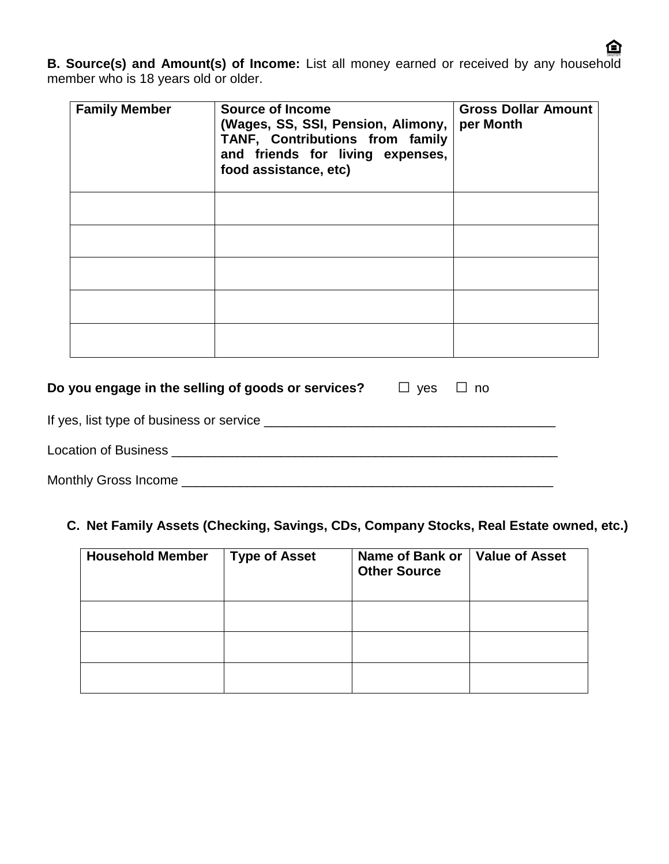**B. Source(s) and Amount(s) of Income:** List all money earned or received by any household member who is 18 years old or older.

| <b>Family Member</b> | <b>Source of Income</b><br>(Wages, SS, SSI, Pension, Alimony,<br>TANF, Contributions from family<br>and friends for living expenses,<br>food assistance, etc) | <b>Gross Dollar Amount</b><br>per Month |
|----------------------|---------------------------------------------------------------------------------------------------------------------------------------------------------------|-----------------------------------------|
|                      |                                                                                                                                                               |                                         |
|                      |                                                                                                                                                               |                                         |
|                      |                                                                                                                                                               |                                         |
|                      |                                                                                                                                                               |                                         |
|                      |                                                                                                                                                               |                                         |

| Do you engage in the selling of goods or services?                                                                                                                                                                             | □ yes □ no |  |
|--------------------------------------------------------------------------------------------------------------------------------------------------------------------------------------------------------------------------------|------------|--|
| If yes, list type of business or service example to the service of the service of the service of the service of the service of the service of the service of the service of the service of the service of the service of the s |            |  |
| Location of Business<br><u>Location</u> of Business                                                                                                                                                                            |            |  |
| <b>Monthly Gross Income</b>                                                                                                                                                                                                    |            |  |

# **C. Net Family Assets (Checking, Savings, CDs, Company Stocks, Real Estate owned, etc.)**

| <b>Household Member</b> | <b>Type of Asset</b> | Name of Bank or<br><b>Other Source</b> | <b>Value of Asset</b> |
|-------------------------|----------------------|----------------------------------------|-----------------------|
|                         |                      |                                        |                       |
|                         |                      |                                        |                       |
|                         |                      |                                        |                       |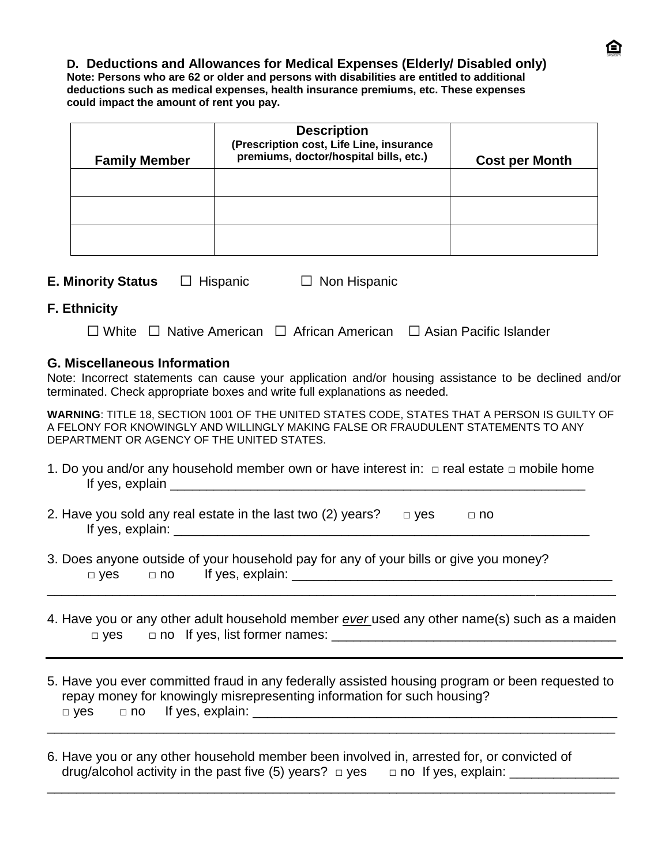## **D. Deductions and Allowances for Medical Expenses (Elderly/ Disabled only)**

**Note: Persons who are 62 or older and persons with disabilities are entitled to additional deductions such as medical expenses, health insurance premiums, etc. These expenses could impact the amount of rent you pay.**

| <b>Family Member</b> | <b>Description</b><br>(Prescription cost, Life Line, insurance<br>premiums, doctor/hospital bills, etc.) | <b>Cost per Month</b> |
|----------------------|----------------------------------------------------------------------------------------------------------|-----------------------|
|                      |                                                                                                          |                       |
|                      |                                                                                                          |                       |
|                      |                                                                                                          |                       |

| <b>E. Minority Status</b> | $\Box$ Hispanic | $\Box$ Non Hispanic |
|---------------------------|-----------------|---------------------|
|                           |                 |                     |

## **F. Ethnicity**

|  |  |  |  | $\Box$ White $\Box$ Native American $\Box$ African American $\Box$ Asian Pacific Islander |
|--|--|--|--|-------------------------------------------------------------------------------------------|
|--|--|--|--|-------------------------------------------------------------------------------------------|

## **G. Miscellaneous Information**

Note: Incorrect statements can cause your application and/or housing assistance to be declined and/or terminated. Check appropriate boxes and write full explanations as needed.

**WARNING**: TITLE 18, SECTION 1001 OF THE UNITED STATES CODE, STATES THAT A PERSON IS GUILTY OF A FELONY FOR KNOWINGLY AND WILLINGLY MAKING FALSE OR FRAUDULENT STATEMENTS TO ANY DEPARTMENT OR AGENCY OF THE UNITED STATES.

- 1. Do you and/or any household member own or have interest in: **□** real estate **□** mobile home If yes, explain \_\_\_\_\_\_\_\_\_\_\_\_\_\_\_\_\_\_\_\_\_\_\_\_\_\_\_\_\_\_\_\_\_\_\_\_\_\_\_\_\_\_\_\_\_\_\_\_\_\_\_\_\_\_\_\_\_
- 2. Have you sold any real estate in the last two (2) years? **□** yes **□** no If yes, explain: \_\_\_\_\_\_\_\_\_\_\_\_\_\_\_\_\_\_\_\_\_\_\_\_\_\_\_\_\_\_\_\_\_\_\_\_\_\_\_\_\_\_\_\_\_\_\_\_\_\_\_\_\_\_\_\_\_
- 3. Does anyone outside of your household pay for any of your bills or give you money?  **□** yes **□** no If yes, explain: \_\_\_\_\_\_\_\_\_\_\_\_\_\_\_\_\_\_\_\_\_\_\_\_\_\_\_\_\_\_\_\_\_\_\_\_\_\_\_\_\_\_\_\_
- 4. Have you or any other adult household member *ever* used any other name(s) such as a maiden **□** yes **□** no If yes, list former names: \_\_\_\_\_\_\_\_\_\_\_\_\_\_\_\_\_\_\_\_\_\_\_\_\_\_\_\_\_\_\_\_\_\_\_\_\_\_\_

\_\_\_\_\_\_\_\_\_\_\_\_\_\_\_\_\_\_\_\_\_\_\_\_\_\_\_\_\_\_\_\_\_\_\_\_\_\_\_\_\_\_\_\_\_\_\_\_\_\_\_\_\_\_\_\_\_\_\_\_\_\_\_\_\_\_\_\_\_\_\_\_\_\_\_\_\_\_

5. Have you ever committed fraud in any federally assisted housing program or been requested to repay money for knowingly misrepresenting information for such housing?  **□** yes **□** no If yes, explain: \_\_\_\_\_\_\_\_\_\_\_\_\_\_\_\_\_\_\_\_\_\_\_\_\_\_\_\_\_\_\_\_\_\_\_\_\_\_\_\_\_\_\_\_\_\_\_\_\_\_

\_\_\_\_\_\_\_\_\_\_\_\_\_\_\_\_\_\_\_\_\_\_\_\_\_\_\_\_\_\_\_\_\_\_\_\_\_\_\_\_\_\_\_\_\_\_\_\_\_\_\_\_\_\_\_\_\_\_\_\_\_\_\_\_\_\_\_\_\_\_\_\_\_\_\_\_\_\_

\_\_\_\_\_\_\_\_\_\_\_\_\_\_\_\_\_\_\_\_\_\_\_\_\_\_\_\_\_\_\_\_\_\_\_\_\_\_\_\_\_\_\_\_\_\_\_\_\_\_\_\_\_\_\_\_\_\_\_\_\_\_\_\_\_\_\_\_\_\_\_\_\_\_\_\_\_\_

6. Have you or any other household member been involved in, arrested for, or convicted of drug/alcohol activity in the past five (5) years? □ yes □ no If yes, explain: \_\_\_\_\_\_\_\_\_\_\_\_\_\_\_\_\_\_\_\_\_\_\_\_\_\_\_\_\_\_\_\_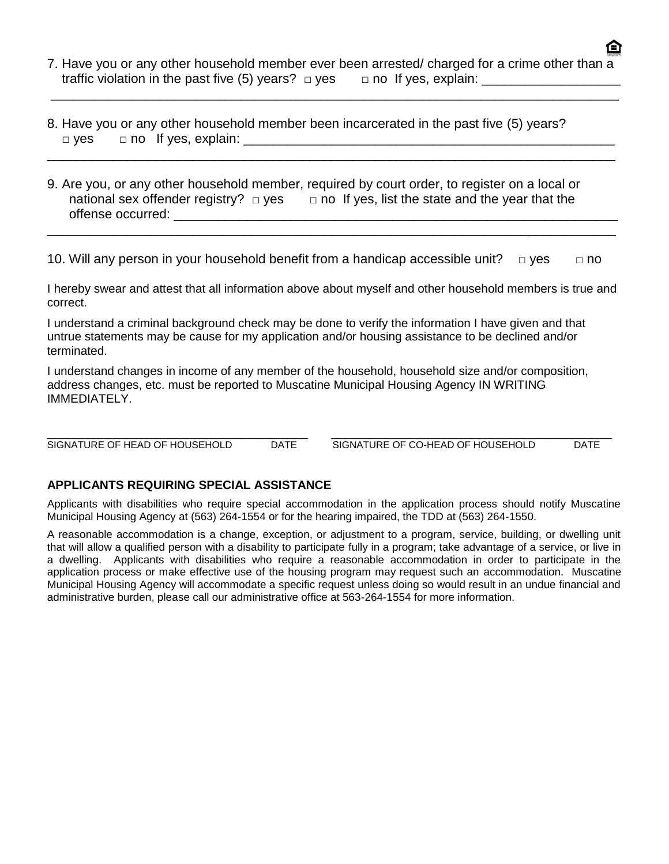7. Have you or any other household member ever been arrested/ charged for a crime other than a traffic violation in the past five (5) years? □ yes □ no If yes, explain: \_\_\_\_\_\_\_

\_\_\_\_\_\_\_\_\_\_\_\_\_\_\_\_\_\_\_\_\_\_\_\_\_\_\_\_\_\_\_\_\_\_\_\_\_\_\_\_\_\_\_\_\_\_\_\_\_\_\_\_\_\_\_\_\_\_\_\_\_\_\_\_\_\_\_\_\_\_\_\_\_\_\_\_\_\_

\_\_\_\_\_\_\_\_\_\_\_\_\_\_\_\_\_\_\_\_\_\_\_\_\_\_\_\_\_\_\_\_\_\_\_\_\_\_\_\_\_\_\_\_\_\_\_\_\_\_\_\_\_\_\_\_\_\_\_\_\_\_\_\_\_\_\_\_\_\_\_\_\_\_\_\_\_\_

- 8. Have you or any other household member been incarcerated in the past five (5) years? □ yes □ □ no If yes, explain:
- 9. Are you, or any other household member, required by court order, to register on a local or national sex offender registry? □ yes □ **□ no** If yes, list the state and the year that the offense occurred:  $\Box$

10. Will any person in your household benefit from a handicap accessible unit? **□** yes **□** no

\_\_\_\_\_\_\_\_\_\_\_\_\_\_\_\_\_\_\_\_\_\_\_\_\_\_\_\_\_\_\_\_\_\_\_\_\_\_\_\_\_\_\_\_\_\_\_\_\_\_\_\_\_\_\_\_\_\_\_\_\_\_\_\_\_\_\_\_\_\_\_\_\_\_\_\_\_\_

I hereby swear and attest that all information above about myself and other household members is true and correct.

I understand a criminal background check may be done to verify the information I have given and that untrue statements may be cause for my application and/or housing assistance to be declined and/or terminated.

I understand changes in income of any member of the household, household size and/or composition, address changes, etc. must be reported to Muscatine Municipal Housing Agency IN WRITING IMMEDIATELY.

\_\_\_\_\_\_\_\_\_\_\_\_\_\_\_\_\_\_\_\_\_\_\_\_\_\_\_\_\_\_\_\_\_\_\_\_\_\_\_ \_\_\_\_\_\_\_\_\_\_\_\_\_\_\_\_\_\_\_\_\_\_\_\_\_\_\_\_\_\_\_\_\_\_\_\_\_\_\_\_\_\_ SIGNATURE OF HEAD OF HOUSEHOLD DATE SIGNATURE OF CO-HEAD OF HOUSEHOLD DATE

## **APPLICANTS REQUIRING SPECIAL ASSISTANCE**

Applicants with disabilities who require special accommodation in the application process should notify Muscatine Municipal Housing Agency at (563) 264-1554 or for the hearing impaired, the TDD at (563) 264-1550.

A reasonable accommodation is a change, exception, or adjustment to a program, service, building, or dwelling unit that will allow a qualified person with a disability to participate fully in a program; take advantage of a service, or live in a dwelling. Applicants with disabilities who require a reasonable accommodation in order to participate in the application process or make effective use of the housing program may request such an accommodation. Muscatine Municipal Housing Agency will accommodate a specific request unless doing so would result in an undue financial and administrative burden, please call our administrative office at 563-264-1554 for more information.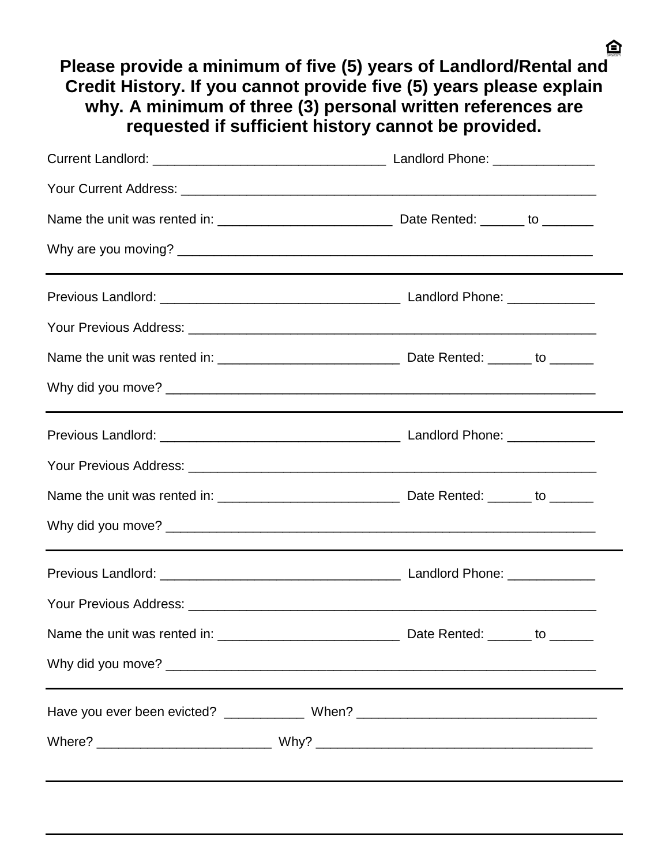**Please provide a minimum of five (5) years of Landlord/Rental and Credit History. If you cannot provide five (5) years please explain why. A minimum of three (3) personal written references are requested if sufficient history cannot be provided.**

| Have you ever been evicted? ________________ When? ______________________________ |  |  |
|-----------------------------------------------------------------------------------|--|--|
|                                                                                   |  |  |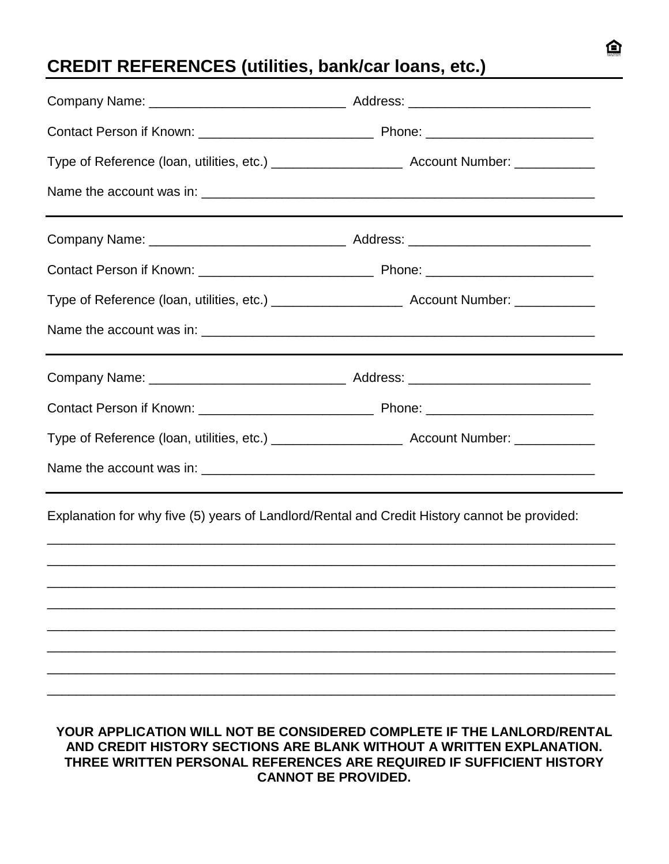# **CREDIT REFERENCES (utilities, bank/car loans, etc.)**

| Explanation for why five (5) years of Landlord/Rental and Credit History cannot be provided:                                                                                                                                                         |  |
|------------------------------------------------------------------------------------------------------------------------------------------------------------------------------------------------------------------------------------------------------|--|
|                                                                                                                                                                                                                                                      |  |
|                                                                                                                                                                                                                                                      |  |
|                                                                                                                                                                                                                                                      |  |
|                                                                                                                                                                                                                                                      |  |
| YOUR APPLICATION WILL NOT BE CONSIDERED COMPLETE IF THE LANLORD/RENTAL<br>AND CREDIT HISTORY SECTIONS ARE BLANK WITHOUT A WRITTEN EXPLANATION.<br>THREE WRITTEN PERSONAL REFERENCES ARE REQUIRED IF SUFFICIENT HISTORY<br><b>CANNOT BE PROVIDED.</b> |  |

臼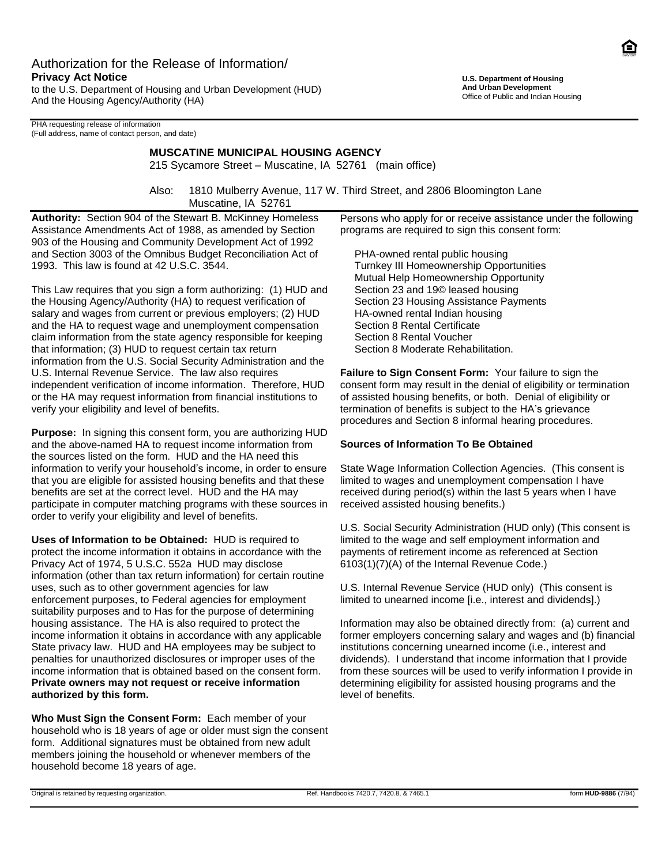## Authorization for the Release of Information/ **Privacy Act Notice**

to the U.S. Department of Housing and Urban Development (HUD) And the Housing Agency/Authority (HA)

PHA requesting release of information (Full address, name of contact person, and date)

#### **MUSCATINE MUNICIPAL HOUSING AGENCY**

215 Sycamore Street – Muscatine, IA 52761 (main office)

Also: 1810 Mulberry Avenue, 117 W. Third Street, and 2806 Bloomington Lane Muscatine, IA 52761

**Authority:** Section 904 of the Stewart B. McKinney Homeless Assistance Amendments Act of 1988, as amended by Section 903 of the Housing and Community Development Act of 1992 and Section 3003 of the Omnibus Budget Reconciliation Act of 1993. This law is found at 42 U.S.C. 3544.

This Law requires that you sign a form authorizing: (1) HUD and the Housing Agency/Authority (HA) to request verification of salary and wages from current or previous employers; (2) HUD and the HA to request wage and unemployment compensation claim information from the state agency responsible for keeping that information; (3) HUD to request certain tax return information from the U.S. Social Security Administration and the U.S. Internal Revenue Service. The law also requires independent verification of income information. Therefore, HUD or the HA may request information from financial institutions to verify your eligibility and level of benefits.

**Purpose:** In signing this consent form, you are authorizing HUD and the above-named HA to request income information from the sources listed on the form. HUD and the HA need this information to verify your household's income, in order to ensure that you are eligible for assisted housing benefits and that these benefits are set at the correct level. HUD and the HA may participate in computer matching programs with these sources in order to verify your eligibility and level of benefits.

**Uses of Information to be Obtained:** HUD is required to protect the income information it obtains in accordance with the Privacy Act of 1974, 5 U.S.C. 552a HUD may disclose information (other than tax return information) for certain routine uses, such as to other government agencies for law enforcement purposes, to Federal agencies for employment suitability purposes and to Has for the purpose of determining housing assistance. The HA is also required to protect the income information it obtains in accordance with any applicable State privacy law. HUD and HA employees may be subject to penalties for unauthorized disclosures or improper uses of the income information that is obtained based on the consent form. **Private owners may not request or receive information authorized by this form.**

**Who Must Sign the Consent Form:** Each member of your household who is 18 years of age or older must sign the consent form. Additional signatures must be obtained from new adult members joining the household or whenever members of the household become 18 years of age.

Persons who apply for or receive assistance under the following programs are required to sign this consent form:

 PHA-owned rental public housing Turnkey III Homeownership Opportunities Mutual Help Homeownership Opportunity Section 23 and 19© leased housing Section 23 Housing Assistance Payments HA-owned rental Indian housing Section 8 Rental Certificate Section 8 Rental Voucher Section 8 Moderate Rehabilitation.

**Failure to Sign Consent Form:** Your failure to sign the consent form may result in the denial of eligibility or termination of assisted housing benefits, or both. Denial of eligibility or termination of benefits is subject to the HA's grievance procedures and Section 8 informal hearing procedures.

#### **Sources of Information To Be Obtained**

State Wage Information Collection Agencies. (This consent is limited to wages and unemployment compensation I have received during period(s) within the last 5 years when I have received assisted housing benefits.)

U.S. Social Security Administration (HUD only) (This consent is limited to the wage and self employment information and payments of retirement income as referenced at Section 6103(1)(7)(A) of the Internal Revenue Code.)

U.S. Internal Revenue Service (HUD only) (This consent is limited to unearned income [i.e., interest and dividends].)

Information may also be obtained directly from: (a) current and former employers concerning salary and wages and (b) financial institutions concerning unearned income (i.e., interest and dividends). I understand that income information that I provide from these sources will be used to verify information I provide in determining eligibility for assisted housing programs and the level of benefits.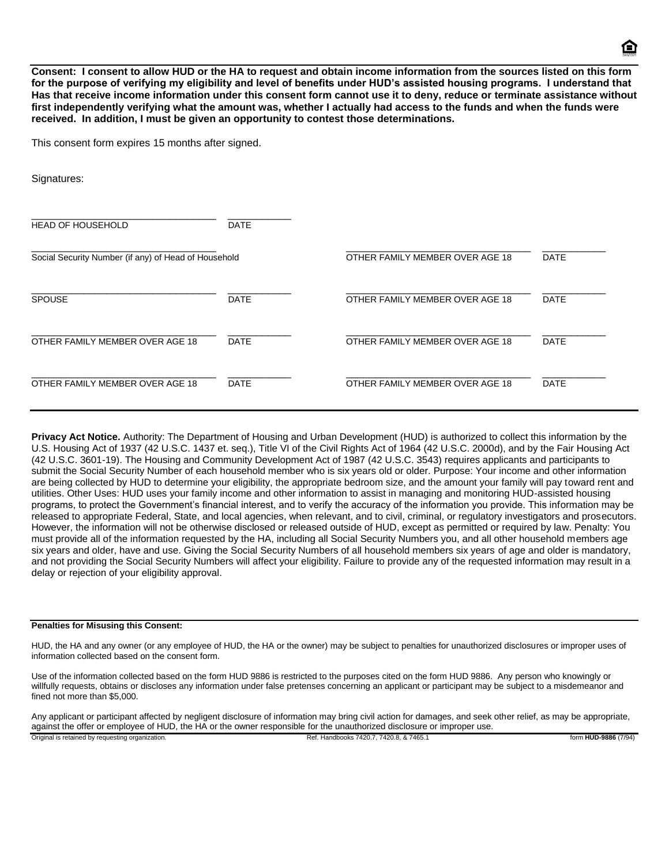**Consent: I consent to allow HUD or the HA to request and obtain income information from the sources listed on this form for the purpose of verifying my eligibility and level of benefits under HUD's assisted housing programs. I understand that Has that receive income information under this consent form cannot use it to deny, reduce or terminate assistance without first independently verifying what the amount was, whether I actually had access to the funds and when the funds were received. In addition, I must be given an opportunity to contest those determinations.**

This consent form expires 15 months after signed.

Signatures: \_\_\_\_\_\_\_\_\_\_\_\_\_\_\_\_\_\_\_\_\_\_\_\_\_\_\_\_\_\_\_\_ \_\_\_\_\_\_\_\_\_\_\_ HEAD OF HOUSEHOLD \_\_\_\_\_\_\_\_\_\_\_\_\_\_\_\_\_\_\_\_\_\_\_\_\_\_\_\_\_\_\_\_ \_\_\_\_\_\_\_\_\_\_\_\_\_\_\_\_\_\_\_\_\_\_\_\_\_\_\_\_\_\_\_\_ \_\_\_\_\_\_\_\_\_\_\_ Social Security Number (if any) of Head of Household **OTHER FAMILY MEMBER OVER AGE 18** DATE \_\_\_\_\_\_\_\_\_\_\_\_\_\_\_\_\_\_\_\_\_\_\_\_\_\_\_\_\_\_\_\_ \_\_\_\_\_\_\_\_\_\_\_ \_\_\_\_\_\_\_\_\_\_\_\_\_\_\_\_\_\_\_\_\_\_\_\_\_\_\_\_\_\_\_\_ \_\_\_\_\_\_\_\_\_\_\_ SPOUSE The STOUSE SPOUSE SERVICE OF DATE And DELITE OF DETERMILY MEMBER OVER AGE 18 ONTE \_\_\_\_\_\_\_\_\_\_\_\_\_\_\_\_\_\_\_\_\_\_\_\_\_\_\_\_\_\_\_\_ \_\_\_\_\_\_\_\_\_\_\_ \_\_\_\_\_\_\_\_\_\_\_\_\_\_\_\_\_\_\_\_\_\_\_\_\_\_\_\_\_\_\_\_ \_\_\_\_\_\_\_\_\_\_\_ OTHER FAMILY MEMBER OVER AGE 18 DATE OTHER FAMILY MEMBER OVER AGE 18 DATE \_\_\_\_\_\_\_\_\_\_\_\_\_\_\_\_\_\_\_\_\_\_\_\_\_\_\_\_\_\_\_\_ \_\_\_\_\_\_\_\_\_\_\_ \_\_\_\_\_\_\_\_\_\_\_\_\_\_\_\_\_\_\_\_\_\_\_\_\_\_\_\_\_\_\_\_ \_\_\_\_\_\_\_\_\_\_\_ OTHER FAMILY MEMBER OVER AGE 18 DATE OTHER FAMILY MEMBER OVER AGE 18 DATE

**Privacy Act Notice.** Authority: The Department of Housing and Urban Development (HUD) is authorized to collect this information by the U.S. Housing Act of 1937 (42 U.S.C. 1437 et. seq.), Title VI of the Civil Rights Act of 1964 (42 U.S.C. 2000d), and by the Fair Housing Act (42 U.S.C. 3601-19). The Housing and Community Development Act of 1987 (42 U.S.C. 3543) requires applicants and participants to submit the Social Security Number of each household member who is six years old or older. Purpose: Your income and other information are being collected by HUD to determine your eligibility, the appropriate bedroom size, and the amount your family will pay toward rent and utilities. Other Uses: HUD uses your family income and other information to assist in managing and monitoring HUD-assisted housing programs, to protect the Government's financial interest, and to verify the accuracy of the information you provide. This information may be released to appropriate Federal, State, and local agencies, when relevant, and to civil, criminal, or regulatory investigators and prosecutors. However, the information will not be otherwise disclosed or released outside of HUD, except as permitted or required by law. Penalty: You must provide all of the information requested by the HA, including all Social Security Numbers you, and all other household members age six years and older, have and use. Giving the Social Security Numbers of all household members six years of age and older is mandatory, and not providing the Social Security Numbers will affect your eligibility. Failure to provide any of the requested information may result in a delay or rejection of your eligibility approval.

#### **Penalties for Misusing this Consent:**

HUD, the HA and any owner (or any employee of HUD, the HA or the owner) may be subject to penalties for unauthorized disclosures or improper uses of information collected based on the consent form.

Use of the information collected based on the form HUD 9886 is restricted to the purposes cited on the form HUD 9886. Any person who knowingly or willfully requests, obtains or discloses any information under false pretenses concerning an applicant or participant may be subject to a misdemeanor and fined not more than \$5,000.

Any applicant or participant affected by negligent disclosure of information may bring civil action for damages, and seek other relief, as may be appropriate, against the offer or employee of HUD, the HA or the owner responsible for the unauthorized disclosure or improper use.

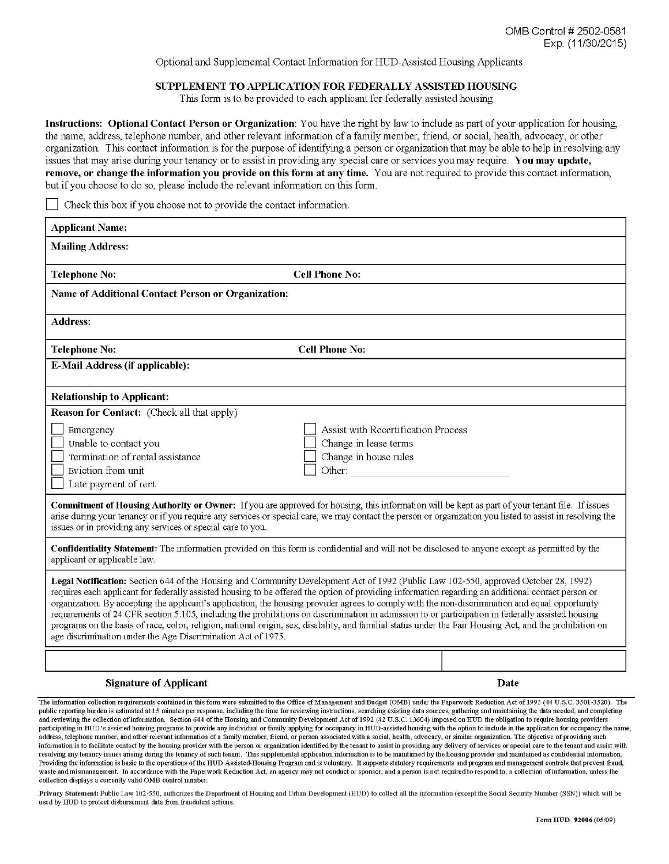Optional and Supplemental Contact Information for HUD-Assisted Housing Applicants

#### SUPPLEMENT TO APPLICATION FOR FEDERALLY ASSISTED HOUSING

This form is to be provided to each applicant for federally assisted housing

Instructions: Optional Contact Person or Organization: You have the right by law to include as part of your application for housing, the name, address, telephone number, and other relevant information of a family member, friend, or social, health, advocacy, or other organization. This contact information is for the purpose of identifying a person or organization that may be able to help in resolving any issues that may arise during your tenancy or to assist in providing any special care or services you may require. You may update, remove, or change the information you provide on this form at any time. You are not required to provide this contact information, but if you choose to do so, please include the relevant information on this form.

Check this box if you choose not to provide the contact information.

| <b>Applicant Name:</b>                                                                                                                                                                                                                                                                                                                                                                                                                                                                                                                                                                                                                                                                                                                                                                                                         |                                     |      |  |  |
|--------------------------------------------------------------------------------------------------------------------------------------------------------------------------------------------------------------------------------------------------------------------------------------------------------------------------------------------------------------------------------------------------------------------------------------------------------------------------------------------------------------------------------------------------------------------------------------------------------------------------------------------------------------------------------------------------------------------------------------------------------------------------------------------------------------------------------|-------------------------------------|------|--|--|
| <b>Mailing Address:</b>                                                                                                                                                                                                                                                                                                                                                                                                                                                                                                                                                                                                                                                                                                                                                                                                        |                                     |      |  |  |
| <b>Telephone No:</b>                                                                                                                                                                                                                                                                                                                                                                                                                                                                                                                                                                                                                                                                                                                                                                                                           | <b>Cell Phone No:</b>               |      |  |  |
| Name of Additional Contact Person or Organization:                                                                                                                                                                                                                                                                                                                                                                                                                                                                                                                                                                                                                                                                                                                                                                             |                                     |      |  |  |
| <b>Address:</b>                                                                                                                                                                                                                                                                                                                                                                                                                                                                                                                                                                                                                                                                                                                                                                                                                |                                     |      |  |  |
| <b>Telephone No:</b>                                                                                                                                                                                                                                                                                                                                                                                                                                                                                                                                                                                                                                                                                                                                                                                                           | <b>Cell Phone No:</b>               |      |  |  |
| E-Mail Address (if applicable):                                                                                                                                                                                                                                                                                                                                                                                                                                                                                                                                                                                                                                                                                                                                                                                                |                                     |      |  |  |
| <b>Relationship to Applicant:</b>                                                                                                                                                                                                                                                                                                                                                                                                                                                                                                                                                                                                                                                                                                                                                                                              |                                     |      |  |  |
| <b>Reason for Contact:</b> (Check all that apply)                                                                                                                                                                                                                                                                                                                                                                                                                                                                                                                                                                                                                                                                                                                                                                              |                                     |      |  |  |
| Emergency                                                                                                                                                                                                                                                                                                                                                                                                                                                                                                                                                                                                                                                                                                                                                                                                                      | Assist with Recertification Process |      |  |  |
| Unable to contact you                                                                                                                                                                                                                                                                                                                                                                                                                                                                                                                                                                                                                                                                                                                                                                                                          | Change in lease terms               |      |  |  |
| Termination of rental assistance                                                                                                                                                                                                                                                                                                                                                                                                                                                                                                                                                                                                                                                                                                                                                                                               | Change in house rules               |      |  |  |
| Eviction from unit                                                                                                                                                                                                                                                                                                                                                                                                                                                                                                                                                                                                                                                                                                                                                                                                             | Other:                              |      |  |  |
| Late payment of rent                                                                                                                                                                                                                                                                                                                                                                                                                                                                                                                                                                                                                                                                                                                                                                                                           |                                     |      |  |  |
| Commitment of Housing Authority or Owner: If you are approved for housing, this information will be kept as part of your tenant file. If issues<br>arise during your tenancy or if you require any services or special care, we may contact the person or organization you listed to assist in resolving the<br>issues or in providing any services or special care to you.                                                                                                                                                                                                                                                                                                                                                                                                                                                    |                                     |      |  |  |
| Confidentiality Statement: The information provided on this form is confidential and will not be disclosed to anyone except as permitted by the<br>applicant or applicable law.                                                                                                                                                                                                                                                                                                                                                                                                                                                                                                                                                                                                                                                |                                     |      |  |  |
| Legal Notification: Section 644 of the Housing and Community Development Act of 1992 (Public Law 102-550, approved October 28, 1992)<br>requires each applicant for federally assisted housing to be offered the option of providing information regarding an additional contact person or<br>organization. By accepting the applicant's application, the housing provider agrees to comply with the non-discrimination and equal opportunity<br>requirements of 24 CFR section 5.105, including the prohibitions on discrimination in admission to or participation in federally assisted housing<br>programs on the basis of race, color, religion, national origin, sex, disability, and familial status under the Fair Housing Act, and the prohibition on<br>age discrimination under the Age Discrimination Act of 1975. |                                     |      |  |  |
|                                                                                                                                                                                                                                                                                                                                                                                                                                                                                                                                                                                                                                                                                                                                                                                                                                |                                     |      |  |  |
| <b>Signature of Applicant</b>                                                                                                                                                                                                                                                                                                                                                                                                                                                                                                                                                                                                                                                                                                                                                                                                  |                                     | Date |  |  |

The information collection requirements contained in this form were submitted to the Office of Management and Budget (OMB) under the Paperwork Reduction Act of 1995 (44 U.S.C. 3501-3520). The public reporting burden is estimated at 15 minutes per response, including the time for reviewing instructions, searching existing data sources, gathering and maintaining the data needed, and completing and reviewing the collection of information. Section 644 of the Housing and Community Development Act of 1992 (42 U.S.C. 13604) imposed on HUD the obligation to require housing providers participating in HUD's assisted housing programs to provide any individual or family applying for occupancy in HUD-assisted housing with the option to include in the application for occupancy the name, address, telephone number, and other relevant information of a family member, friend, or person associated with a social, health, advocacy, or similar organization. The objective of providing such information is to facilitate contact by the housing provider with the person or organization identified by the tenant to assist in providing any delivery of services or special care to the tenant and assist with resolving any tenancy issues ansing during the tenancy of such tenant. This supplemental application information is to be maintained by the housing provider and maintained as confidential information. Providing the information is basic to the operations of the HUD Assisted-Housing Program and is voluntary. It supports statutory requirements and program and management controls that prevent fraud, waste and mismanagement. In accordance with the Paperwork Reduction Act, an agency may not conduct or sponsor, and a person is not required to respond to, a collection of information, unless the collection displays a currently valid OMB control number.

Privacy Statement: Public Law 102-550, authorizes the Department of Housing and Urban Development (HUD) to collect all the information (except the Social Security Number (SSN)) which will be used by HUD to protect disbursement data from fraudulent actions.